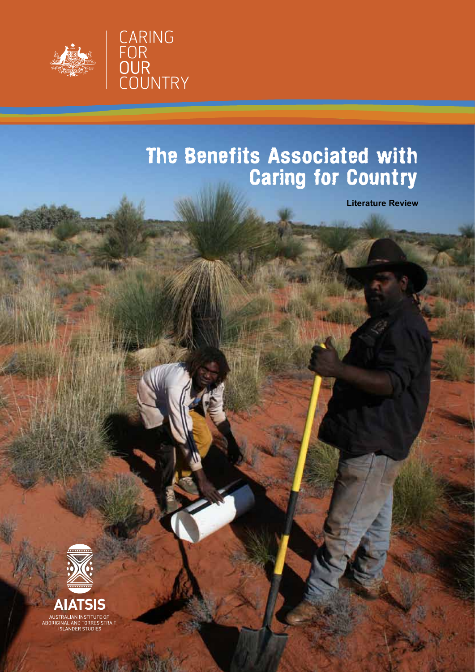

## The Benefits Associated with Caring for Country

**Literature Review**



AUSTRALIAN INSTITUTE OF<br>ABORIGINAL AND TORRES STRAIT<br>ISLANDER STUDIES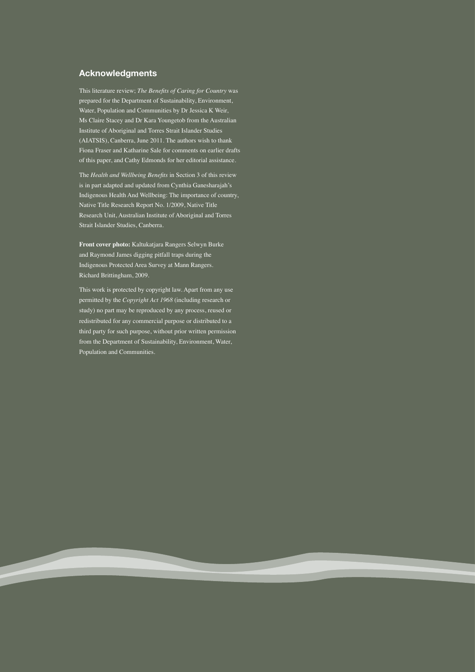#### **Acknowledgments**

This literature review; *The Benefits of Caring for Country* was prepared for the Department of Sustainability, Environment, Water, Population and Communities by Dr Jessica K Weir, Ms Claire Stacey and Dr Kara Youngetob from the Australian Institute of Aboriginal and Torres Strait Islander Studies (AIATSIS), Canberra, June 2011. The authors wish to thank Fiona Fraser and Katharine Sale for comments on earlier drafts of this paper, and Cathy Edmonds for her editorial assistance.

The *Health and Wellbeing Benefits* in Section 3 of this review is in part adapted and updated from Cynthia Ganesharajah's Indigenous Health And Wellbeing: The importance of country, Native Title Research Report No. 1/2009, Native Title Research Unit, Australian Institute of Aboriginal and Torres Strait Islander Studies, Canberra.

**Front cover photo:** Kaltukatjara Rangers Selwyn Burke and Raymond James digging pitfall traps during the Indigenous Protected Area Survey at Mann Rangers. Richard Brittingham, 2009.

This work is protected by copyright law. Apart from any use permitted by the *Copyright Act 1968* (including research or study) no part may be reproduced by any process, reused or redistributed for any commercial purpose or distributed to a third party for such purpose, without prior written permission from the Department of Sustainability, Environment, Water, Population and Communities.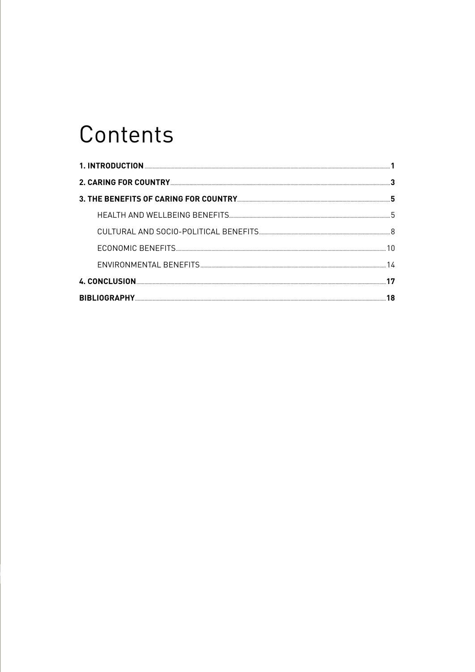## Contents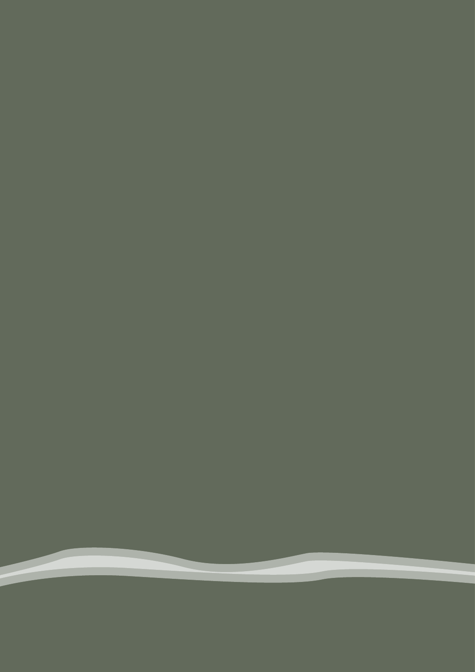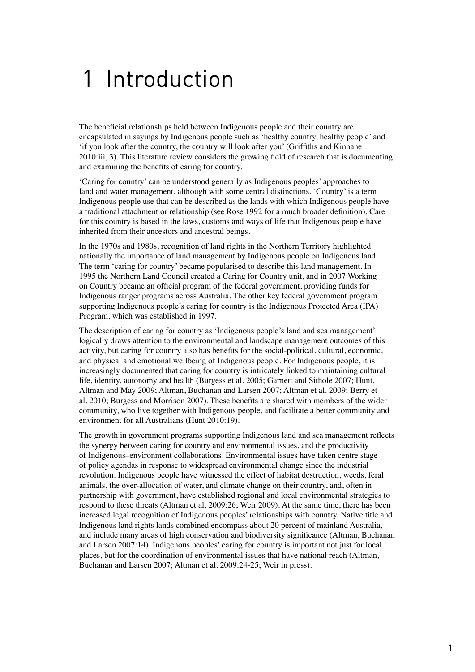## 1 Introduction

The beneficial relationships held between Indigenous people and their country are encapsulated in sayings by Indigenous people such as 'healthy country, healthy people' and 'if you look after the country, the country will look after you' (Griffiths and Kinnane 2010:iii, 3). This literature review considers the growing field of research that is documenting and examining the benefits of caring for country.

'Caring for country' can be understood generally as Indigenous peoples' approaches to land and water management, although with some central distinctions. 'Country' is a term Indigenous people use that can be described as the lands with which Indigenous people have a traditional attachment or relationship (see Rose 1992 for a much broader definition). Care for this country is based in the laws, customs and ways of life that Indigenous people have inherited from their ancestors and ancestral beings.

In the 1970s and 1980s, recognition of land rights in the Northern Territory highlighted nationally the importance of land management by Indigenous people on Indigenous land. The term 'caring for country' became popularised to describe this land management. In 1995 the Northern Land Council created a Caring for Country unit, and in 2007 Working on Country became an official program of the federal government, providing funds for Indigenous ranger programs across Australia. The other key federal government program supporting Indigenous people's caring for country is the Indigenous Protected Area (IPA) Program, which was established in 1997.

The description of caring for country as 'Indigenous people's land and sea management' logically draws attention to the environmental and landscape management outcomes of this activity, but caring for country also has benefits for the social-political, cultural, economic, and physical and emotional wellbeing of Indigenous people. For Indigenous people, it is increasingly documented that caring for country is intricately linked to maintaining cultural life, identity, autonomy and health (Burgess et al. 2005; Garnett and Sithole 2007; Hunt, Altman and May 2009; Altman, Buchanan and Larsen 2007; Altman et al. 2009; Berry et al. 2010; Burgess and Morrison 2007). These benefits are shared with members of the wider community, who live together with Indigenous people, and facilitate a better community and environment for all Australians (Hunt 2010:19).

The growth in government programs supporting Indigenous land and sea management reflects the synergy between caring for country and environmental issues, and the productivity of Indigenous–environment collaborations. Environmental issues have taken centre stage of policy agendas in response to widespread environmental change since the industrial revolution. Indigenous people have witnessed the effect of habitat destruction, weeds, feral animals, the over-allocation of water, and climate change on their country, and, often in partnership with government, have established regional and local environmental strategies to respond to these threats (Altman et al. 2009:26; Weir 2009). At the same time, there has been increased legal recognition of Indigenous peoples' relationships with country. Native title and Indigenous land rights lands combined encompass about 20 percent of mainland Australia, and include many areas of high conservation and biodiversity significance (Altman, Buchanan and Larsen 2007:14). Indigenous peoples' caring for country is important not just for local places, but for the coordination of environmental issues that have national reach (Altman, Buchanan and Larsen 2007; Altman et al. 2009:24-25; Weir in press).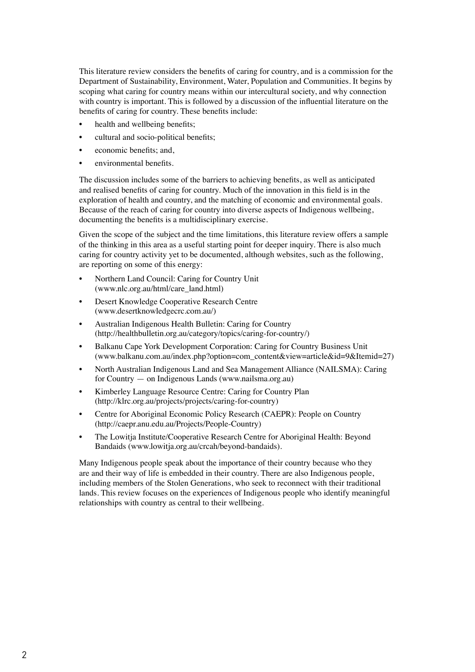This literature review considers the benefits of caring for country, and is a commission for the Department of Sustainability, Environment, Water, Population and Communities. It begins by scoping what caring for country means within our intercultural society, and why connection with country is important. This is followed by a discussion of the influential literature on the benefits of caring for country. These benefits include:

- health and wellbeing benefits:
- cultural and socio-political benefits;
- economic benefits; and,
- environmental benefits.

The discussion includes some of the barriers to achieving benefits, as well as anticipated and realised benefits of caring for country. Much of the innovation in this field is in the exploration of health and country, and the matching of economic and environmental goals. Because of the reach of caring for country into diverse aspects of Indigenous wellbeing, documenting the benefits is a multidisciplinary exercise.

Given the scope of the subject and the time limitations, this literature review offers a sample of the thinking in this area as a useful starting point for deeper inquiry. There is also much caring for country activity yet to be documented, although websites, such as the following, are reporting on some of this energy:

- Northern Land Council: Caring for Country Unit (www.nlc.org.au/html/care\_land.html)
- Desert Knowledge Cooperative Research Centre (www.desertknowledgecrc.com.au/)
- Australian Indigenous Health Bulletin: Caring for Country (http://healthbulletin.org.au/category/topics/caring-for-country/)
- Balkanu Cape York Development Corporation: Caring for Country Business Unit (www.balkanu.com.au/index.php?option=com\_content&view=article&id=9&Itemid=27)
- North Australian Indigenous Land and Sea Management Alliance (NAILSMA): Caring for Country — on Indigenous Lands (www.nailsma.org.au)
- Kimberley Language Resource Centre: Caring for Country Plan (http://klrc.org.au/projects/projects/caring-for-country)
- Centre for Aboriginal Economic Policy Research (CAEPR): People on Country (http://caepr.anu.edu.au/Projects/People-Country)
- The Lowitja Institute/Cooperative Research Centre for Aboriginal Health: Beyond Bandaids (www.lowitja.org.au/crcah/beyond-bandaids).

Many Indigenous people speak about the importance of their country because who they are and their way of life is embedded in their country. There are also Indigenous people, including members of the Stolen Generations, who seek to reconnect with their traditional lands. This review focuses on the experiences of Indigenous people who identify meaningful relationships with country as central to their wellbeing.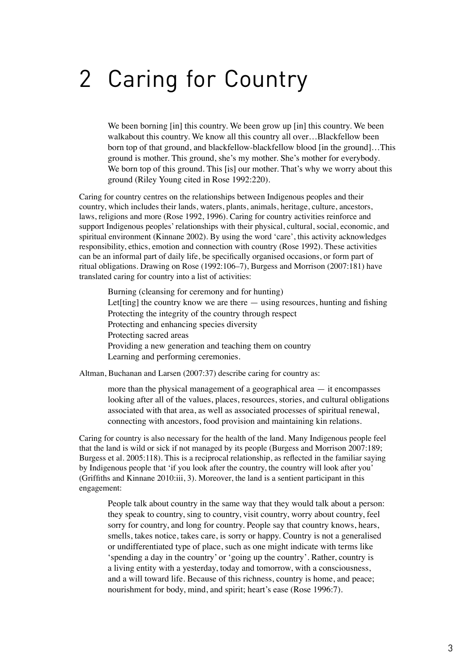# 2 Caring for Country

We been borning [in] this country. We been grow up [in] this country. We been walkabout this country. We know all this country all over...Blackfellow been born top of that ground, and blackfellow-blackfellow blood [in the ground]…This ground is mother. This ground, she's my mother. She's mother for everybody. We born top of this ground. This [is] our mother. That's why we worry about this ground (Riley Young cited in Rose 1992:220).

Caring for country centres on the relationships between Indigenous peoples and their country, which includes their lands, waters, plants, animals, heritage, culture, ancestors, laws, religions and more (Rose 1992, 1996). Caring for country activities reinforce and support Indigenous peoples' relationships with their physical, cultural, social, economic, and spiritual environment (Kinnane 2002). By using the word 'care', this activity acknowledges responsibility, ethics, emotion and connection with country (Rose 1992). These activities can be an informal part of daily life, be specifically organised occasions, or form part of ritual obligations. Drawing on Rose (1992:106–7), Burgess and Morrison (2007:181) have translated caring for country into a list of activities:

Burning (cleansing for ceremony and for hunting) Let  $[ting]$  the country know we are there  $-$  using resources, hunting and fishing Protecting the integrity of the country through respect Protecting and enhancing species diversity Protecting sacred areas Providing a new generation and teaching them on country Learning and performing ceremonies.

Altman, Buchanan and Larsen (2007:37) describe caring for country as:

more than the physical management of a geographical area  $-$  it encompasses looking after all of the values, places, resources, stories, and cultural obligations associated with that area, as well as associated processes of spiritual renewal, connecting with ancestors, food provision and maintaining kin relations.

Caring for country is also necessary for the health of the land. Many Indigenous people feel that the land is wild or sick if not managed by its people (Burgess and Morrison 2007:189; Burgess et al. 2005:118). This is a reciprocal relationship, as reflected in the familiar saying by Indigenous people that 'if you look after the country, the country will look after you' (Griffiths and Kinnane 2010:iii, 3). Moreover, the land is a sentient participant in this engagement:

People talk about country in the same way that they would talk about a person: they speak to country, sing to country, visit country, worry about country, feel sorry for country, and long for country. People say that country knows, hears, smells, takes notice, takes care, is sorry or happy. Country is not a generalised or undifferentiated type of place, such as one might indicate with terms like 'spending a day in the country' or 'going up the country'. Rather, country is a living entity with a yesterday, today and tomorrow, with a consciousness, and a will toward life. Because of this richness, country is home, and peace; nourishment for body, mind, and spirit; heart's ease (Rose 1996:7).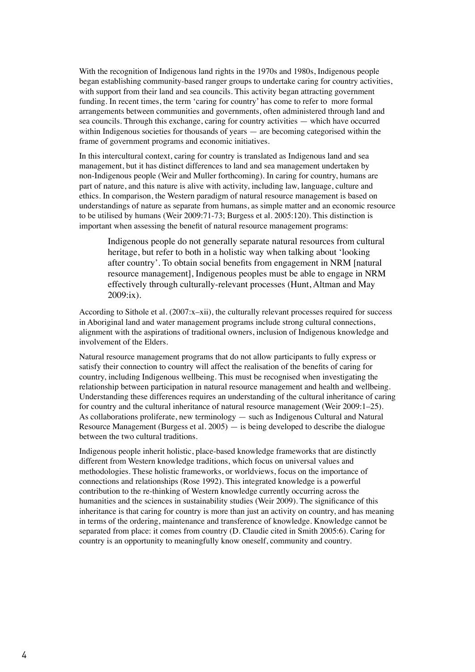With the recognition of Indigenous land rights in the 1970s and 1980s, Indigenous people began establishing community-based ranger groups to undertake caring for country activities, with support from their land and sea councils. This activity began attracting government funding. In recent times, the term 'caring for country' has come to refer to more formal arrangements between communities and governments, often administered through land and sea councils. Through this exchange, caring for country activities — which have occurred within Indigenous societies for thousands of years — are becoming categorised within the frame of government programs and economic initiatives.

In this intercultural context, caring for country is translated as Indigenous land and sea management, but it has distinct differences to land and sea management undertaken by non-Indigenous people (Weir and Muller forthcoming). In caring for country, humans are part of nature, and this nature is alive with activity, including law, language, culture and ethics. In comparison, the Western paradigm of natural resource management is based on understandings of nature as separate from humans, as simple matter and an economic resource to be utilised by humans (Weir 2009:71-73; Burgess et al. 2005:120). This distinction is important when assessing the benefit of natural resource management programs:

Indigenous people do not generally separate natural resources from cultural heritage, but refer to both in a holistic way when talking about 'looking after country'. To obtain social benefits from engagement in NRM [natural resource management], Indigenous peoples must be able to engage in NRM effectively through culturally-relevant processes (Hunt, Altman and May 2009:ix).

According to Sithole et al. (2007:x–xii), the culturally relevant processes required for success in Aboriginal land and water management programs include strong cultural connections, alignment with the aspirations of traditional owners, inclusion of Indigenous knowledge and involvement of the Elders.

Natural resource management programs that do not allow participants to fully express or satisfy their connection to country will affect the realisation of the benefits of caring for country, including Indigenous wellbeing. This must be recognised when investigating the relationship between participation in natural resource management and health and wellbeing. Understanding these differences requires an understanding of the cultural inheritance of caring for country and the cultural inheritance of natural resource management (Weir 2009:1–25). As collaborations proliferate, new terminology — such as Indigenous Cultural and Natural Resource Management (Burgess et al. 2005) — is being developed to describe the dialogue between the two cultural traditions.

Indigenous people inherit holistic, place-based knowledge frameworks that are distinctly different from Western knowledge traditions, which focus on universal values and methodologies. These holistic frameworks, or worldviews, focus on the importance of connections and relationships (Rose 1992). This integrated knowledge is a powerful contribution to the re-thinking of Western knowledge currently occurring across the humanities and the sciences in sustainability studies (Weir 2009). The significance of this inheritance is that caring for country is more than just an activity on country, and has meaning in terms of the ordering, maintenance and transference of knowledge. Knowledge cannot be separated from place: it comes from country (D. Claudie cited in Smith 2005:6). Caring for country is an opportunity to meaningfully know oneself, community and country.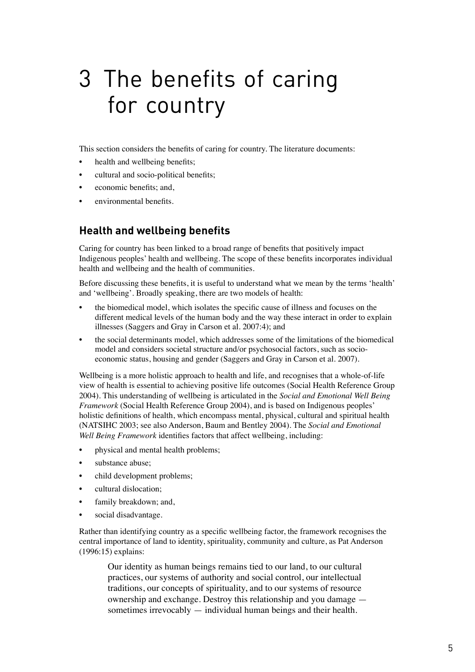# 3 The benefits of caring for country

This section considers the benefits of caring for country. The literature documents:

- health and wellbeing benefits;
- cultural and socio-political benefits:
- economic benefits; and,
- environmental benefits.

### **Health and wellbeing benefits**

Caring for country has been linked to a broad range of benefits that positively impact Indigenous peoples' health and wellbeing. The scope of these benefits incorporates individual health and wellbeing and the health of communities.

Before discussing these benefits, it is useful to understand what we mean by the terms 'health' and 'wellbeing'. Broadly speaking, there are two models of health:

- the biomedical model, which isolates the specific cause of illness and focuses on the different medical levels of the human body and the way these interact in order to explain illnesses (Saggers and Gray in Carson et al. 2007:4); and
- the social determinants model, which addresses some of the limitations of the biomedical model and considers societal structure and/or psychosocial factors, such as socioeconomic status, housing and gender (Saggers and Gray in Carson et al. 2007).

Wellbeing is a more holistic approach to health and life, and recognises that a whole-of-life view of health is essential to achieving positive life outcomes (Social Health Reference Group 2004). This understanding of wellbeing is articulated in the *Social and Emotional Well Being Framework* (Social Health Reference Group 2004), and is based on Indigenous peoples' holistic definitions of health, which encompass mental, physical, cultural and spiritual health (NATSIHC 2003; see also Anderson, Baum and Bentley 2004). The *Social and Emotional Well Being Framework* identifies factors that affect wellbeing, including:

- physical and mental health problems;
- substance abuse;
- child development problems;
- cultural dislocation;
- family breakdown; and,
- social disadvantage.

Rather than identifying country as a specific wellbeing factor, the framework recognises the central importance of land to identity, spirituality, community and culture, as Pat Anderson (1996:15) explains:

Our identity as human beings remains tied to our land, to our cultural practices, our systems of authority and social control, our intellectual traditions, our concepts of spirituality, and to our systems of resource ownership and exchange. Destroy this relationship and you damage sometimes irrevocably — individual human beings and their health.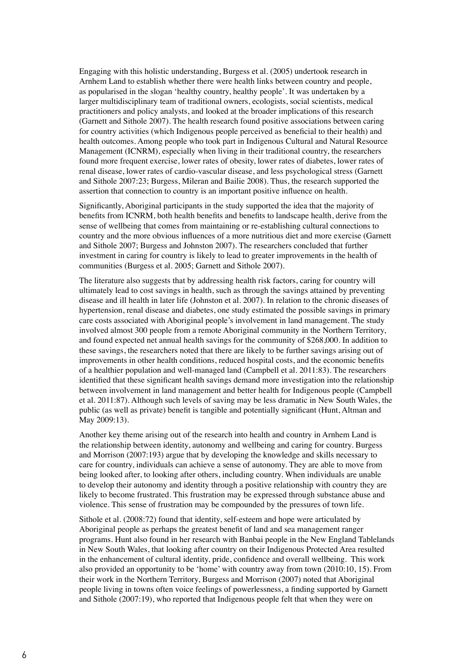Engaging with this holistic understanding, Burgess et al. (2005) undertook research in Arnhem Land to establish whether there were health links between country and people, as popularised in the slogan 'healthy country, healthy people'. It was undertaken by a larger multidisciplinary team of traditional owners, ecologists, social scientists, medical practitioners and policy analysts, and looked at the broader implications of this research (Garnett and Sithole 2007). The health research found positive associations between caring for country activities (which Indigenous people perceived as beneficial to their health) and health outcomes. Among people who took part in Indigenous Cultural and Natural Resource Management (ICNRM), especially when living in their traditional country, the researchers found more frequent exercise, lower rates of obesity, lower rates of diabetes, lower rates of renal disease, lower rates of cardio-vascular disease, and less psychological stress (Garnett and Sithole 2007:23; Burgess, Mileran and Bailie 2008). Thus, the research supported the assertion that connection to country is an important positive influence on health.

Significantly, Aboriginal participants in the study supported the idea that the majority of benefits from ICNRM, both health benefits and benefits to landscape health, derive from the sense of wellbeing that comes from maintaining or re-establishing cultural connections to country and the more obvious influences of a more nutritious diet and more exercise (Garnett and Sithole 2007; Burgess and Johnston 2007). The researchers concluded that further investment in caring for country is likely to lead to greater improvements in the health of communities (Burgess et al. 2005; Garnett and Sithole 2007).

The literature also suggests that by addressing health risk factors, caring for country will ultimately lead to cost savings in health, such as through the savings attained by preventing disease and ill health in later life (Johnston et al. 2007). In relation to the chronic diseases of hypertension, renal disease and diabetes, one study estimated the possible savings in primary care costs associated with Aboriginal people's involvement in land management. The study involved almost 300 people from a remote Aboriginal community in the Northern Territory, and found expected net annual health savings for the community of \$268,000. In addition to these savings, the researchers noted that there are likely to be further savings arising out of improvements in other health conditions, reduced hospital costs, and the economic benefits of a healthier population and well-managed land (Campbell et al. 2011:83). The researchers identified that these significant health savings demand more investigation into the relationship between involvement in land management and better health for Indigenous people (Campbell et al. 2011:87). Although such levels of saving may be less dramatic in New South Wales, the public (as well as private) benefit is tangible and potentially significant (Hunt, Altman and May 2009:13).

Another key theme arising out of the research into health and country in Arnhem Land is the relationship between identity, autonomy and wellbeing and caring for country. Burgess and Morrison (2007:193) argue that by developing the knowledge and skills necessary to care for country, individuals can achieve a sense of autonomy. They are able to move from being looked after, to looking after others, including country. When individuals are unable to develop their autonomy and identity through a positive relationship with country they are likely to become frustrated. This frustration may be expressed through substance abuse and violence. This sense of frustration may be compounded by the pressures of town life.

Sithole et al. (2008:72) found that identity, self-esteem and hope were articulated by Aboriginal people as perhaps the greatest benefit of land and sea management ranger programs. Hunt also found in her research with Banbai people in the New England Tablelands in New South Wales, that looking after country on their Indigenous Protected Area resulted in the enhancement of cultural identity, pride, confidence and overall wellbeing. This work also provided an opportunity to be 'home' with country away from town (2010:10, 15). From their work in the Northern Territory, Burgess and Morrison (2007) noted that Aboriginal people living in towns often voice feelings of powerlessness, a finding supported by Garnett and Sithole (2007:19), who reported that Indigenous people felt that when they were on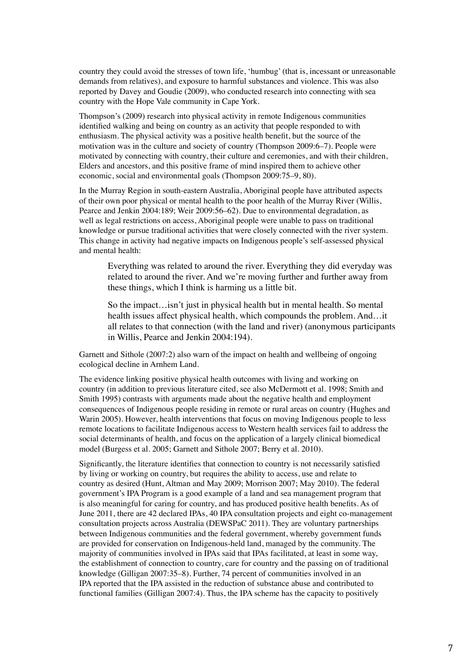country they could avoid the stresses of town life, 'humbug' (that is, incessant or unreasonable demands from relatives), and exposure to harmful substances and violence. This was also reported by Davey and Goudie (2009), who conducted research into connecting with sea country with the Hope Vale community in Cape York.

Thompson's (2009) research into physical activity in remote Indigenous communities identified walking and being on country as an activity that people responded to with enthusiasm. The physical activity was a positive health benefit, but the source of the motivation was in the culture and society of country (Thompson 2009:6–7). People were motivated by connecting with country, their culture and ceremonies, and with their children, Elders and ancestors, and this positive frame of mind inspired them to achieve other economic, social and environmental goals (Thompson 2009:75–9, 80).

In the Murray Region in south-eastern Australia, Aboriginal people have attributed aspects of their own poor physical or mental health to the poor health of the Murray River (Willis, Pearce and Jenkin 2004:189; Weir 2009:56–62). Due to environmental degradation, as well as legal restrictions on access, Aboriginal people were unable to pass on traditional knowledge or pursue traditional activities that were closely connected with the river system. This change in activity had negative impacts on Indigenous people's self-assessed physical and mental health:

Everything was related to around the river. Everything they did everyday was related to around the river. And we're moving further and further away from these things, which I think is harming us a little bit.

So the impact…isn't just in physical health but in mental health. So mental health issues affect physical health, which compounds the problem. And…it all relates to that connection (with the land and river) (anonymous participants in Willis, Pearce and Jenkin 2004:194).

Garnett and Sithole (2007:2) also warn of the impact on health and wellbeing of ongoing ecological decline in Arnhem Land.

The evidence linking positive physical health outcomes with living and working on country (in addition to previous literature cited, see also McDermott et al. 1998; Smith and Smith 1995) contrasts with arguments made about the negative health and employment consequences of Indigenous people residing in remote or rural areas on country (Hughes and Warin 2005). However, health interventions that focus on moving Indigenous people to less remote locations to facilitate Indigenous access to Western health services fail to address the social determinants of health, and focus on the application of a largely clinical biomedical model (Burgess et al. 2005; Garnett and Sithole 2007; Berry et al. 2010).

Significantly, the literature identifies that connection to country is not necessarily satisfied by living or working on country, but requires the ability to access, use and relate to country as desired (Hunt, Altman and May 2009; Morrison 2007; May 2010). The federal government's IPA Program is a good example of a land and sea management program that is also meaningful for caring for country, and has produced positive health benefits. As of June 2011, there are 42 declared IPAs, 40 IPA consultation projects and eight co-management consultation projects across Australia (DEWSPaC 2011). They are voluntary partnerships between Indigenous communities and the federal government, whereby government funds are provided for conservation on Indigenous-held land, managed by the community. The majority of communities involved in IPAs said that IPAs facilitated, at least in some way, the establishment of connection to country, care for country and the passing on of traditional knowledge (Gilligan 2007:35–8). Further, 74 percent of communities involved in an IPA reported that the IPA assisted in the reduction of substance abuse and contributed to functional families (Gilligan 2007:4). Thus, the IPA scheme has the capacity to positively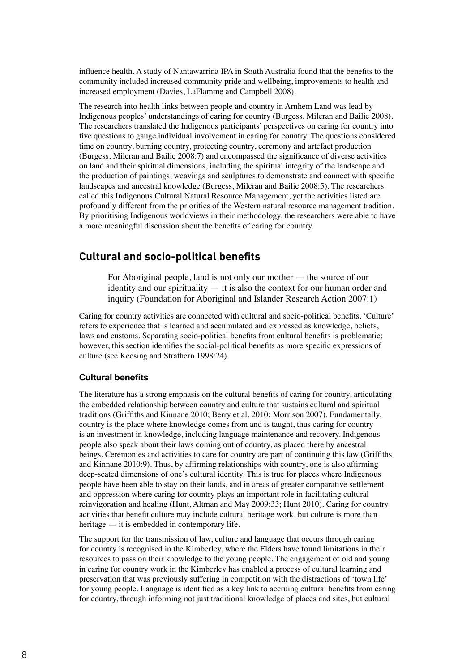influence health. A study of Nantawarrina IPA in South Australia found that the benefits to the community included increased community pride and wellbeing, improvements to health and increased employment (Davies, LaFlamme and Campbell 2008).

The research into health links between people and country in Arnhem Land was lead by Indigenous peoples' understandings of caring for country (Burgess, Mileran and Bailie 2008). The researchers translated the Indigenous participants' perspectives on caring for country into five questions to gauge individual involvement in caring for country. The questions considered time on country, burning country, protecting country, ceremony and artefact production (Burgess, Mileran and Bailie 2008:7) and encompassed the significance of diverse activities on land and their spiritual dimensions, including the spiritual integrity of the landscape and the production of paintings, weavings and sculptures to demonstrate and connect with specific landscapes and ancestral knowledge (Burgess, Mileran and Bailie 2008:5). The researchers called this Indigenous Cultural Natural Resource Management, yet the activities listed are profoundly different from the priorities of the Western natural resource management tradition. By prioritising Indigenous worldviews in their methodology, the researchers were able to have a more meaningful discussion about the benefits of caring for country.

### **Cultural and socio-political benefits**

For Aboriginal people, land is not only our mother — the source of our identity and our spirituality  $-$  it is also the context for our human order and inquiry (Foundation for Aboriginal and Islander Research Action 2007:1)

Caring for country activities are connected with cultural and socio-political benefits. 'Culture' refers to experience that is learned and accumulated and expressed as knowledge, beliefs, laws and customs. Separating socio-political benefits from cultural benefits is problematic; however, this section identifies the social-political benefits as more specific expressions of culture (see Keesing and Strathern 1998:24).

#### **Cultural benefits**

The literature has a strong emphasis on the cultural benefits of caring for country, articulating the embedded relationship between country and culture that sustains cultural and spiritual traditions (Griffiths and Kinnane 2010; Berry et al. 2010; Morrison 2007). Fundamentally, country is the place where knowledge comes from and is taught, thus caring for country is an investment in knowledge, including language maintenance and recovery. Indigenous people also speak about their laws coming out of country, as placed there by ancestral beings. Ceremonies and activities to care for country are part of continuing this law (Griffiths and Kinnane 2010:9). Thus, by affirming relationships with country, one is also affirming deep-seated dimensions of one's cultural identity. This is true for places where Indigenous people have been able to stay on their lands, and in areas of greater comparative settlement and oppression where caring for country plays an important role in facilitating cultural reinvigoration and healing (Hunt, Altman and May 2009:33; Hunt 2010). Caring for country activities that benefit culture may include cultural heritage work, but culture is more than heritage — it is embedded in contemporary life.

The support for the transmission of law, culture and language that occurs through caring for country is recognised in the Kimberley, where the Elders have found limitations in their resources to pass on their knowledge to the young people. The engagement of old and young in caring for country work in the Kimberley has enabled a process of cultural learning and preservation that was previously suffering in competition with the distractions of 'town life' for young people. Language is identified as a key link to accruing cultural benefits from caring for country, through informing not just traditional knowledge of places and sites, but cultural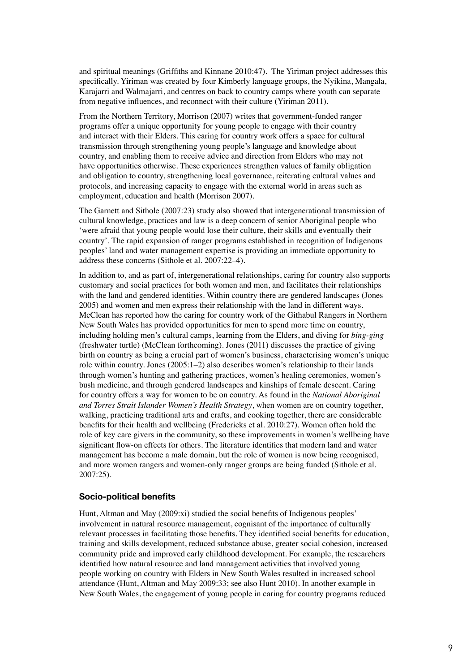and spiritual meanings (Griffiths and Kinnane 2010:47). The Yiriman project addresses this specifically. Yiriman was created by four Kimberly language groups, the Nyikina, Mangala, Karajarri and Walmajarri, and centres on back to country camps where youth can separate from negative influences, and reconnect with their culture (Yiriman 2011).

From the Northern Territory, Morrison (2007) writes that government-funded ranger programs offer a unique opportunity for young people to engage with their country and interact with their Elders. This caring for country work offers a space for cultural transmission through strengthening young people's language and knowledge about country, and enabling them to receive advice and direction from Elders who may not have opportunities otherwise. These experiences strengthen values of family obligation and obligation to country, strengthening local governance, reiterating cultural values and protocols, and increasing capacity to engage with the external world in areas such as employment, education and health (Morrison 2007).

The Garnett and Sithole (2007:23) study also showed that intergenerational transmission of cultural knowledge, practices and law is a deep concern of senior Aboriginal people who 'were afraid that young people would lose their culture, their skills and eventually their country'. The rapid expansion of ranger programs established in recognition of Indigenous peoples' land and water management expertise is providing an immediate opportunity to address these concerns (Sithole et al. 2007:22–4).

In addition to, and as part of, intergenerational relationships, caring for country also supports customary and social practices for both women and men, and facilitates their relationships with the land and gendered identities. Within country there are gendered landscapes (Jones 2005) and women and men express their relationship with the land in different ways. McClean has reported how the caring for country work of the Githabul Rangers in Northern New South Wales has provided opportunities for men to spend more time on country, including holding men's cultural camps, learning from the Elders, and diving for *bing-ging* (freshwater turtle) (McClean forthcoming). Jones (2011) discusses the practice of giving birth on country as being a crucial part of women's business, characterising women's unique role within country. Jones (2005:1–2) also describes women's relationship to their lands through women's hunting and gathering practices, women's healing ceremonies, women's bush medicine, and through gendered landscapes and kinships of female descent. Caring for country offers a way for women to be on country. As found in the *National Aboriginal and Torres Strait Islander Women's Health Strategy*, when women are on country together, walking, practicing traditional arts and crafts, and cooking together, there are considerable benefits for their health and wellbeing (Fredericks et al. 2010:27). Women often hold the role of key care givers in the community, so these improvements in women's wellbeing have significant flow-on effects for others. The literature identifies that modern land and water management has become a male domain, but the role of women is now being recognised, and more women rangers and women-only ranger groups are being funded (Sithole et al. 2007:25).

#### **Socio-political benefits**

Hunt, Altman and May (2009:xi) studied the social benefits of Indigenous peoples' involvement in natural resource management, cognisant of the importance of culturally relevant processes in facilitating those benefits. They identified social benefits for education, training and skills development, reduced substance abuse, greater social cohesion, increased community pride and improved early childhood development. For example, the researchers identified how natural resource and land management activities that involved young people working on country with Elders in New South Wales resulted in increased school attendance (Hunt, Altman and May 2009:33; see also Hunt 2010). In another example in New South Wales, the engagement of young people in caring for country programs reduced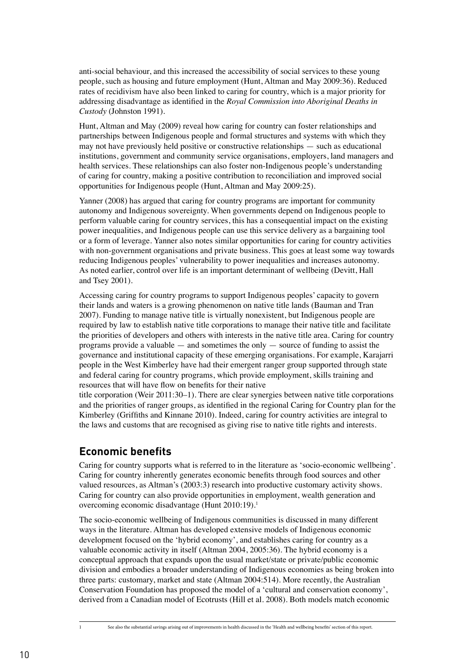anti-social behaviour, and this increased the accessibility of social services to these young people, such as housing and future employment (Hunt, Altman and May 2009:36). Reduced rates of recidivism have also been linked to caring for country, which is a major priority for addressing disadvantage as identified in the *Royal Commission into Aboriginal Deaths in Custody* (Johnston 1991).

Hunt, Altman and May (2009) reveal how caring for country can foster relationships and partnerships between Indigenous people and formal structures and systems with which they may not have previously held positive or constructive relationships — such as educational institutions, government and community service organisations, employers, land managers and health services. These relationships can also foster non-Indigenous people's understanding of caring for country, making a positive contribution to reconciliation and improved social opportunities for Indigenous people (Hunt, Altman and May 2009:25).

Yanner (2008) has argued that caring for country programs are important for community autonomy and Indigenous sovereignty. When governments depend on Indigenous people to perform valuable caring for country services, this has a consequential impact on the existing power inequalities, and Indigenous people can use this service delivery as a bargaining tool or a form of leverage. Yanner also notes similar opportunities for caring for country activities with non-government organisations and private business. This goes at least some way towards reducing Indigenous peoples' vulnerability to power inequalities and increases autonomy. As noted earlier, control over life is an important determinant of wellbeing (Devitt, Hall and Tsey 2001).

Accessing caring for country programs to support Indigenous peoples' capacity to govern their lands and waters is a growing phenomenon on native title lands (Bauman and Tran 2007). Funding to manage native title is virtually nonexistent, but Indigenous people are required by law to establish native title corporations to manage their native title and facilitate the priorities of developers and others with interests in the native title area. Caring for country programs provide a valuable  $-$  and sometimes the only  $-$  source of funding to assist the governance and institutional capacity of these emerging organisations. For example, Karajarri people in the West Kimberley have had their emergent ranger group supported through state and federal caring for country programs, which provide employment, skills training and resources that will have flow on benefits for their native

title corporation (Weir 2011:30–1). There are clear synergies between native title corporations and the priorities of ranger groups, as identified in the regional Caring for Country plan for the Kimberley (Griffiths and Kinnane 2010). Indeed, caring for country activities are integral to the laws and customs that are recognised as giving rise to native title rights and interests.

### **Economic benefits**

Caring for country supports what is referred to in the literature as 'socio-economic wellbeing'. Caring for country inherently generates economic benefits through food sources and other valued resources, as Altman's (2003:3) research into productive customary activity shows. Caring for country can also provide opportunities in employment, wealth generation and overcoming economic disadvantage (Hunt 2010:19).<sup>1</sup>

The socio-economic wellbeing of Indigenous communities is discussed in many different ways in the literature. Altman has developed extensive models of Indigenous economic development focused on the 'hybrid economy', and establishes caring for country as a valuable economic activity in itself (Altman 2004, 2005:36). The hybrid economy is a conceptual approach that expands upon the usual market/state or private/public economic division and embodies a broader understanding of Indigenous economies as being broken into three parts: customary, market and state (Altman 2004:514). More recently, the Australian Conservation Foundation has proposed the model of a 'cultural and conservation economy', derived from a Canadian model of Ecotrusts (Hill et al. 2008). Both models match economic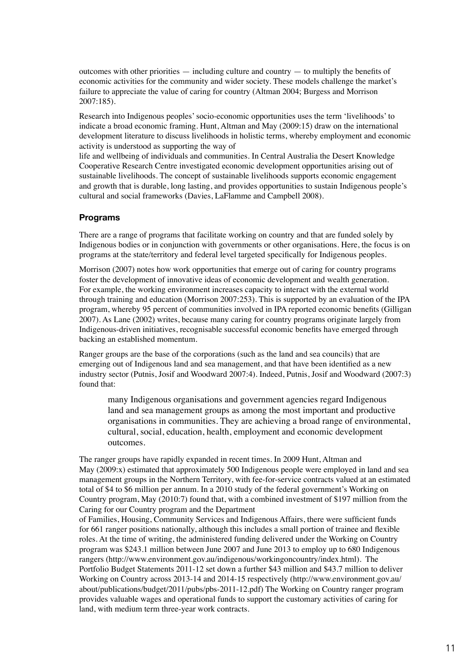outcomes with other priorities — including culture and country — to multiply the benefits of economic activities for the community and wider society. These models challenge the market's failure to appreciate the value of caring for country (Altman 2004; Burgess and Morrison 2007:185).

Research into Indigenous peoples' socio-economic opportunities uses the term 'livelihoods' to indicate a broad economic framing. Hunt, Altman and May (2009:15) draw on the international development literature to discuss livelihoods in holistic terms, whereby employment and economic activity is understood as supporting the way of

life and wellbeing of individuals and communities. In Central Australia the Desert Knowledge Cooperative Research Centre investigated economic development opportunities arising out of sustainable livelihoods. The concept of sustainable livelihoods supports economic engagement and growth that is durable, long lasting, and provides opportunities to sustain Indigenous people's cultural and social frameworks (Davies, LaFlamme and Campbell 2008).

#### **Programs**

There are a range of programs that facilitate working on country and that are funded solely by Indigenous bodies or in conjunction with governments or other organisations. Here, the focus is on programs at the state/territory and federal level targeted specifically for Indigenous peoples.

Morrison (2007) notes how work opportunities that emerge out of caring for country programs foster the development of innovative ideas of economic development and wealth generation. For example, the working environment increases capacity to interact with the external world through training and education (Morrison 2007:253). This is supported by an evaluation of the IPA program, whereby 95 percent of communities involved in IPA reported economic benefits (Gilligan 2007). As Lane (2002) writes, because many caring for country programs originate largely from Indigenous-driven initiatives, recognisable successful economic benefits have emerged through backing an established momentum.

Ranger groups are the base of the corporations (such as the land and sea councils) that are emerging out of Indigenous land and sea management, and that have been identified as a new industry sector (Putnis, Josif and Woodward 2007:4). Indeed, Putnis, Josif and Woodward (2007:3) found that:

many Indigenous organisations and government agencies regard Indigenous land and sea management groups as among the most important and productive organisations in communities. They are achieving a broad range of environmental, cultural, social, education, health, employment and economic development outcomes.

The ranger groups have rapidly expanded in recent times. In 2009 Hunt, Altman and May (2009:x) estimated that approximately 500 Indigenous people were employed in land and sea management groups in the Northern Territory, with fee-for-service contracts valued at an estimated total of \$4 to \$6 million per annum. In a 2010 study of the federal government's Working on Country program, May (2010:7) found that, with a combined investment of \$197 million from the Caring for our Country program and the Department

of Families, Housing, Community Services and Indigenous Affairs, there were sufficient funds for 661 ranger positions nationally, although this includes a small portion of trainee and flexible roles. At the time of writing, the administered funding delivered under the Working on Country program was \$243.1 million between June 2007 and June 2013 to employ up to 680 Indigenous rangers (http://www.environment.gov.au/indigenous/workingoncountry/index.html). The Portfolio Budget Statements 2011-12 set down a further \$43 million and \$43.7 million to deliver Working on Country across 2013-14 and 2014-15 respectively (http://www.environment.gov.au/ about/publications/budget/2011/pubs/pbs-2011-12.pdf) The Working on Country ranger program provides valuable wages and operational funds to support the customary activities of caring for land, with medium term three-year work contracts.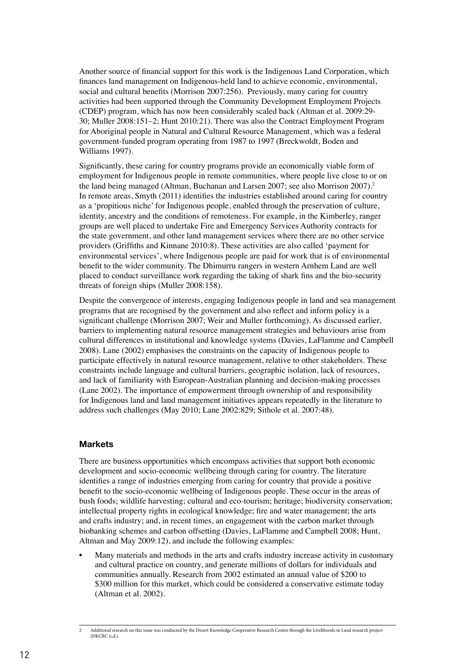Another source of financial support for this work is the Indigenous Land Corporation, which finances land management on Indigenous-held land to achieve economic, environmental, social and cultural benefits (Morrison 2007:256). Previously, many caring for country activities had been supported through the Community Development Employment Projects (CDEP) program, which has now been considerably scaled back (Altman et al. 2009:29- 30; Muller 2008:151–2; Hunt 2010:21). There was also the Contract Employment Program for Aboriginal people in Natural and Cultural Resource Management, which was a federal government-funded program operating from 1987 to 1997 (Breckwoldt, Boden and Williams 1997).

Significantly, these caring for country programs provide an economically viable form of employment for Indigenous people in remote communities, where people live close to or on the land being managed (Altman, Buchanan and Larsen 2007; see also Morrison 2007).<sup>2</sup> In remote areas, Smyth (2011) identifies the industries established around caring for country as a 'propitious niche' for Indigenous people, enabled through the preservation of culture, identity, ancestry and the conditions of remoteness. For example, in the Kimberley, ranger groups are well placed to undertake Fire and Emergency Services Authority contracts for the state government, and other land management services where there are no other service providers (Griffiths and Kinnane 2010:8). These activities are also called 'payment for environmental services', where Indigenous people are paid for work that is of environmental benefit to the wider community. The Dhimurru rangers in western Arnhem Land are well placed to conduct surveillance work regarding the taking of shark fins and the bio-security threats of foreign ships (Muller 2008:158).

Despite the convergence of interests, engaging Indigenous people in land and sea management programs that are recognised by the government and also reflect and inform policy is a significant challenge (Morrison 2007; Weir and Muller forthcoming). As discussed earlier, barriers to implementing natural resource management strategies and behaviours arise from cultural differences in institutional and knowledge systems (Davies, LaFlamme and Campbell 2008). Lane (2002) emphasises the constraints on the capacity of Indigenous people to participate effectively in natural resource management, relative to other stakeholders. These constraints include language and cultural barriers, geographic isolation, lack of resources, and lack of familiarity with European-Australian planning and decision-making processes (Lane 2002). The importance of empowerment through ownership of and responsibility for Indigenous land and land management initiatives appears repeatedly in the literature to address such challenges (May 2010; Lane 2002:829; Sithole et al. 2007:48).

#### **Markets**

There are business opportunities which encompass activities that support both economic development and socio-economic wellbeing through caring for country. The literature identifies a range of industries emerging from caring for country that provide a positive benefit to the socio-economic wellbeing of Indigenous people. These occur in the areas of bush foods; wildlife harvesting; cultural and eco-tourism; heritage; biodiversity conservation; intellectual property rights in ecological knowledge; fire and water management; the arts and crafts industry; and, in recent times, an engagement with the carbon market through biobanking schemes and carbon offsetting (Davies, LaFlamme and Campbell 2008; Hunt, Altman and May 2009:12), and include the following examples:

• Many materials and methods in the arts and crafts industry increase activity in customary and cultural practice on country, and generate millions of dollars for individuals and communities annually. Research from 2002 estimated an annual value of \$200 to \$300 million for this market, which could be considered a conservative estimate today (Altman et al. 2002).

<sup>2</sup> Additional research on this issue was conducted by the Desert Knowledge Cooperative Research Centre through the Livelihoods in Land research project (DKCRC n.d.).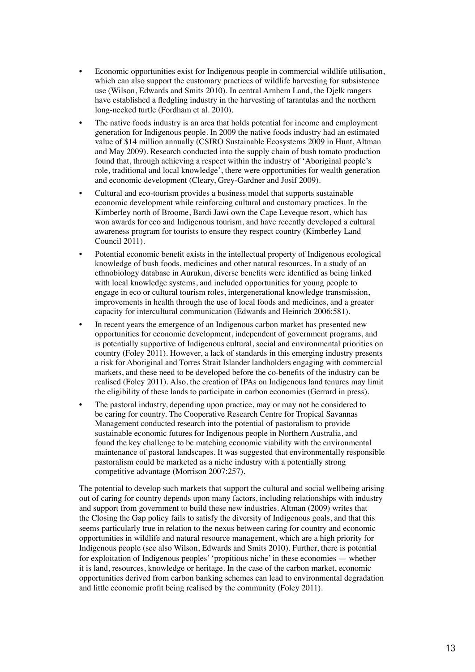- Economic opportunities exist for Indigenous people in commercial wildlife utilisation, which can also support the customary practices of wildlife harvesting for subsistence use (Wilson, Edwards and Smits 2010). In central Arnhem Land, the Djelk rangers have established a fledgling industry in the harvesting of tarantulas and the northern long-necked turtle (Fordham et al. 2010).
- The native foods industry is an area that holds potential for income and employment generation for Indigenous people. In 2009 the native foods industry had an estimated value of \$14 million annually (CSIRO Sustainable Ecosystems 2009 in Hunt, Altman and May 2009). Research conducted into the supply chain of bush tomato production found that, through achieving a respect within the industry of 'Aboriginal people's role, traditional and local knowledge', there were opportunities for wealth generation and economic development (Cleary, Grey-Gardner and Josif 2009).
- Cultural and eco-tourism provides a business model that supports sustainable economic development while reinforcing cultural and customary practices. In the Kimberley north of Broome, Bardi Jawi own the Cape Leveque resort, which has won awards for eco and Indigenous tourism, and have recently developed a cultural awareness program for tourists to ensure they respect country (Kimberley Land Council 2011).
- Potential economic benefit exists in the intellectual property of Indigenous ecological knowledge of bush foods, medicines and other natural resources. In a study of an ethnobiology database in Aurukun, diverse benefits were identified as being linked with local knowledge systems, and included opportunities for young people to engage in eco or cultural tourism roles, intergenerational knowledge transmission, improvements in health through the use of local foods and medicines, and a greater capacity for intercultural communication (Edwards and Heinrich 2006:581).
- In recent years the emergence of an Indigenous carbon market has presented new opportunities for economic development, independent of government programs, and is potentially supportive of Indigenous cultural, social and environmental priorities on country (Foley 2011). However, a lack of standards in this emerging industry presents a risk for Aboriginal and Torres Strait Islander landholders engaging with commercial markets, and these need to be developed before the co-benefits of the industry can be realised (Foley 2011). Also, the creation of IPAs on Indigenous land tenures may limit the eligibility of these lands to participate in carbon economies (Gerrard in press).
- The pastoral industry, depending upon practice, may or may not be considered to be caring for country. The Cooperative Research Centre for Tropical Savannas Management conducted research into the potential of pastoralism to provide sustainable economic futures for Indigenous people in Northern Australia, and found the key challenge to be matching economic viability with the environmental maintenance of pastoral landscapes. It was suggested that environmentally responsible pastoralism could be marketed as a niche industry with a potentially strong competitive advantage (Morrison 2007:257).

The potential to develop such markets that support the cultural and social wellbeing arising out of caring for country depends upon many factors, including relationships with industry and support from government to build these new industries. Altman (2009) writes that the Closing the Gap policy fails to satisfy the diversity of Indigenous goals, and that this seems particularly true in relation to the nexus between caring for country and economic opportunities in wildlife and natural resource management, which are a high priority for Indigenous people (see also Wilson, Edwards and Smits 2010). Further, there is potential for exploitation of Indigenous peoples' 'propitious niche' in these economies — whether it is land, resources, knowledge or heritage. In the case of the carbon market, economic opportunities derived from carbon banking schemes can lead to environmental degradation and little economic profit being realised by the community (Foley 2011).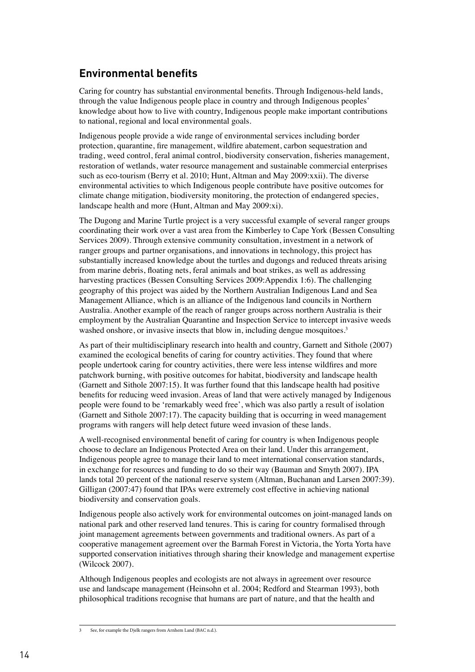### **Environmental benefits**

Caring for country has substantial environmental benefits. Through Indigenous-held lands, through the value Indigenous people place in country and through Indigenous peoples' knowledge about how to live with country, Indigenous people make important contributions to national, regional and local environmental goals.

Indigenous people provide a wide range of environmental services including border protection, quarantine, fire management, wildfire abatement, carbon sequestration and trading, weed control, feral animal control, biodiversity conservation, fisheries management, restoration of wetlands, water resource management and sustainable commercial enterprises such as eco-tourism (Berry et al. 2010; Hunt, Altman and May 2009:xxii). The diverse environmental activities to which Indigenous people contribute have positive outcomes for climate change mitigation, biodiversity monitoring, the protection of endangered species, landscape health and more (Hunt, Altman and May 2009:xi).

The Dugong and Marine Turtle project is a very successful example of several ranger groups coordinating their work over a vast area from the Kimberley to Cape York (Bessen Consulting Services 2009). Through extensive community consultation, investment in a network of ranger groups and partner organisations, and innovations in technology, this project has substantially increased knowledge about the turtles and dugongs and reduced threats arising from marine debris, floating nets, feral animals and boat strikes, as well as addressing harvesting practices (Bessen Consulting Services 2009:Appendix 1:6). The challenging geography of this project was aided by the Northern Australian Indigenous Land and Sea Management Alliance, which is an alliance of the Indigenous land councils in Northern Australia. Another example of the reach of ranger groups across northern Australia is their employment by the Australian Quarantine and Inspection Service to intercept invasive weeds washed onshore, or invasive insects that blow in, including dengue mosquitoes.<sup>3</sup>

As part of their multidisciplinary research into health and country, Garnett and Sithole (2007) examined the ecological benefits of caring for country activities. They found that where people undertook caring for country activities, there were less intense wildfires and more patchwork burning, with positive outcomes for habitat, biodiversity and landscape health (Garnett and Sithole 2007:15). It was further found that this landscape health had positive benefits for reducing weed invasion. Areas of land that were actively managed by Indigenous people were found to be 'remarkably weed free', which was also partly a result of isolation (Garnett and Sithole 2007:17). The capacity building that is occurring in weed management programs with rangers will help detect future weed invasion of these lands.

A well-recognised environmental benefit of caring for country is when Indigenous people choose to declare an Indigenous Protected Area on their land. Under this arrangement, Indigenous people agree to manage their land to meet international conservation standards, in exchange for resources and funding to do so their way (Bauman and Smyth 2007). IPA lands total 20 percent of the national reserve system (Altman, Buchanan and Larsen 2007:39). Gilligan (2007:47) found that IPAs were extremely cost effective in achieving national biodiversity and conservation goals.

Indigenous people also actively work for environmental outcomes on joint-managed lands on national park and other reserved land tenures. This is caring for country formalised through joint management agreements between governments and traditional owners. As part of a cooperative management agreement over the Barmah Forest in Victoria, the Yorta Yorta have supported conservation initiatives through sharing their knowledge and management expertise (Wilcock 2007).

Although Indigenous peoples and ecologists are not always in agreement over resource use and landscape management (Heinsohn et al. 2004; Redford and Stearman 1993), both philosophical traditions recognise that humans are part of nature, and that the health and

<sup>3</sup> See, for example the Djelk rangers from Arnhem Land (BAC n.d.).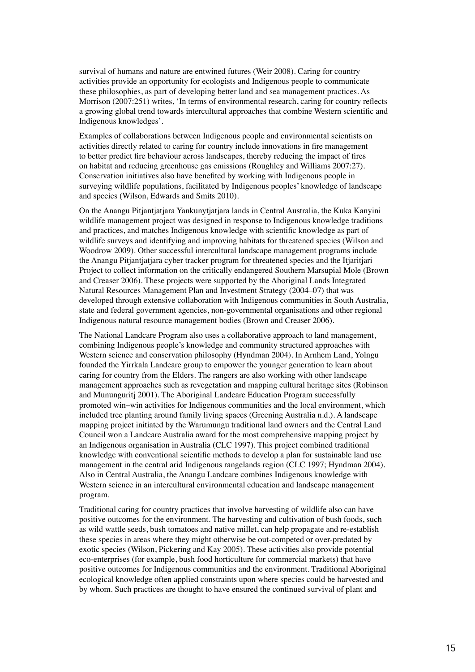survival of humans and nature are entwined futures (Weir 2008). Caring for country activities provide an opportunity for ecologists and Indigenous people to communicate these philosophies, as part of developing better land and sea management practices. As Morrison (2007:251) writes, 'In terms of environmental research, caring for country reflects a growing global trend towards intercultural approaches that combine Western scientific and Indigenous knowledges'.

Examples of collaborations between Indigenous people and environmental scientists on activities directly related to caring for country include innovations in fire management to better predict fire behaviour across landscapes, thereby reducing the impact of fires on habitat and reducing greenhouse gas emissions (Roughley and Williams 2007:27). Conservation initiatives also have benefited by working with Indigenous people in surveying wildlife populations, facilitated by Indigenous peoples' knowledge of landscape and species (Wilson, Edwards and Smits 2010).

On the Anangu Pitjantjatjara Yankunytjatjara lands in Central Australia, the Kuka Kanyini wildlife management project was designed in response to Indigenous knowledge traditions and practices, and matches Indigenous knowledge with scientific knowledge as part of wildlife surveys and identifying and improving habitats for threatened species (Wilson and Woodrow 2009). Other successful intercultural landscape management programs include the Anangu Pitjantjatjara cyber tracker program for threatened species and the Itjaritjari Project to collect information on the critically endangered Southern Marsupial Mole (Brown and Creaser 2006). These projects were supported by the Aboriginal Lands Integrated Natural Resources Management Plan and Investment Strategy (2004–07) that was developed through extensive collaboration with Indigenous communities in South Australia, state and federal government agencies, non-governmental organisations and other regional Indigenous natural resource management bodies (Brown and Creaser 2006).

The National Landcare Program also uses a collaborative approach to land management, combining Indigenous people's knowledge and community structured approaches with Western science and conservation philosophy (Hyndman 2004). In Arnhem Land, Yolngu founded the Yirrkala Landcare group to empower the younger generation to learn about caring for country from the Elders. The rangers are also working with other landscape management approaches such as revegetation and mapping cultural heritage sites (Robinson and Mununguritj 2001). The Aboriginal Landcare Education Program successfully promoted win–win activities for Indigenous communities and the local environment, which included tree planting around family living spaces (Greening Australia n.d.). A landscape mapping project initiated by the Warumungu traditional land owners and the Central Land Council won a Landcare Australia award for the most comprehensive mapping project by an Indigenous organisation in Australia (CLC 1997). This project combined traditional knowledge with conventional scientific methods to develop a plan for sustainable land use management in the central arid Indigenous rangelands region (CLC 1997; Hyndman 2004). Also in Central Australia, the Anangu Landcare combines Indigenous knowledge with Western science in an intercultural environmental education and landscape management program.

Traditional caring for country practices that involve harvesting of wildlife also can have positive outcomes for the environment. The harvesting and cultivation of bush foods, such as wild wattle seeds, bush tomatoes and native millet, can help propagate and re-establish these species in areas where they might otherwise be out-competed or over-predated by exotic species (Wilson, Pickering and Kay 2005). These activities also provide potential eco-enterprises (for example, bush food horticulture for commercial markets) that have positive outcomes for Indigenous communities and the environment. Traditional Aboriginal ecological knowledge often applied constraints upon where species could be harvested and by whom. Such practices are thought to have ensured the continued survival of plant and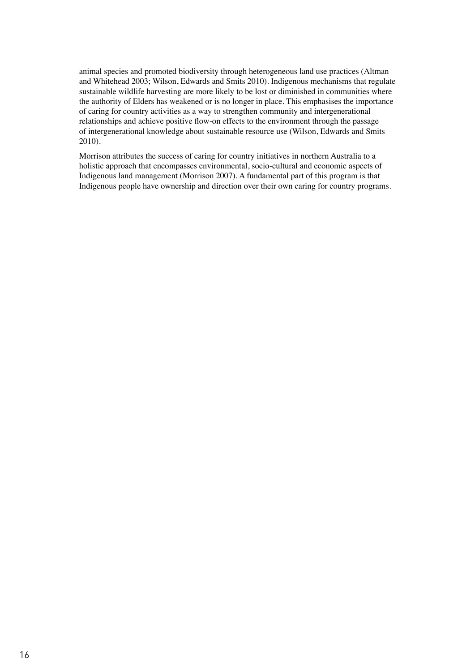animal species and promoted biodiversity through heterogeneous land use practices (Altman and Whitehead 2003; Wilson, Edwards and Smits 2010). Indigenous mechanisms that regulate sustainable wildlife harvesting are more likely to be lost or diminished in communities where the authority of Elders has weakened or is no longer in place. This emphasises the importance of caring for country activities as a way to strengthen community and intergenerational relationships and achieve positive flow-on effects to the environment through the passage of intergenerational knowledge about sustainable resource use (Wilson, Edwards and Smits 2010).

Morrison attributes the success of caring for country initiatives in northern Australia to a holistic approach that encompasses environmental, socio-cultural and economic aspects of Indigenous land management (Morrison 2007). A fundamental part of this program is that Indigenous people have ownership and direction over their own caring for country programs.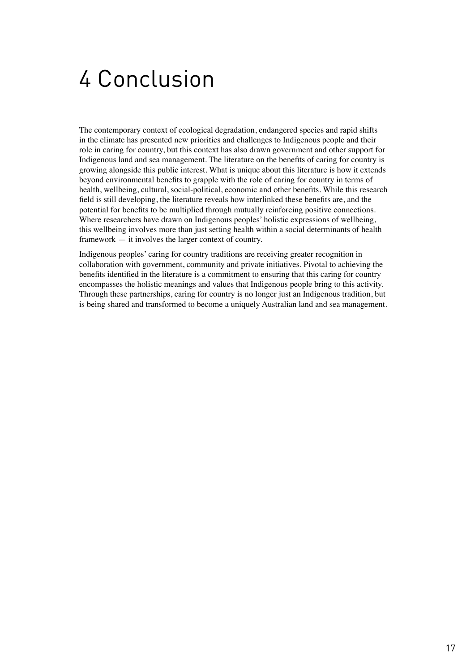# 4 Conclusion

The contemporary context of ecological degradation, endangered species and rapid shifts in the climate has presented new priorities and challenges to Indigenous people and their role in caring for country, but this context has also drawn government and other support for Indigenous land and sea management. The literature on the benefits of caring for country is growing alongside this public interest. What is unique about this literature is how it extends beyond environmental benefits to grapple with the role of caring for country in terms of health, wellbeing, cultural, social-political, economic and other benefits. While this research field is still developing, the literature reveals how interlinked these benefits are, and the potential for benefits to be multiplied through mutually reinforcing positive connections. Where researchers have drawn on Indigenous peoples' holistic expressions of wellbeing, this wellbeing involves more than just setting health within a social determinants of health framework — it involves the larger context of country.

Indigenous peoples' caring for country traditions are receiving greater recognition in collaboration with government, community and private initiatives. Pivotal to achieving the benefits identified in the literature is a commitment to ensuring that this caring for country encompasses the holistic meanings and values that Indigenous people bring to this activity. Through these partnerships, caring for country is no longer just an Indigenous tradition, but is being shared and transformed to become a uniquely Australian land and sea management.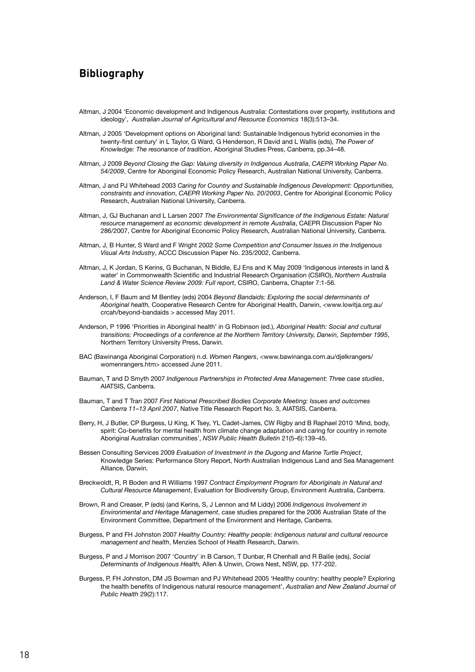### **Bibliography**

- Altman, J 2004 'Economic development and Indigenous Australia: Contestations over property, institutions and ideology', *Australian Journal of Agricultural and Resource Economics* 18(3):513–34.
- Altman, J 2005 'Development options on Aboriginal land: Sustainable Indigenous hybrid economies in the twenty-first century' in L Taylor, G Ward, G Henderson, R David and L Wallis (eds), *The Power of Knowledge: The resonance of tradition*, Aboriginal Studies Press, Canberra, pp.34–48.
- Altman, J 2009 *Beyond Closing the Gap: Valuing diversity in Indigenous Australia*, *CAEPR Working Paper No. 54/2009*, Centre for Aboriginal Economic Policy Research, Australian National University, Canberra.
- Altman, J and PJ Whitehead 2003 *Caring for Country and Sustainable Indigenous Development: Opportunities, constraints and innovation*, *CAEPR Working Paper No. 20/2003*, Centre for Aboriginal Economic Policy Research, Australian National University, Canberra.
- Altman, J, GJ Buchanan and L Larsen 2007 *The Environmental Significance of the Indigenous Estate: Natural resource management as economic development in remote Australia*, CAEPR Discussion Paper No 286/2007, Centre for Aboriginal Economic Policy Research, Australian National University, Canberra.
- Altman, J, B Hunter, S Ward and F Wright 2002 *Some Competition and Consumer Issues in the Indigenous Visual Arts Industry*, ACCC Discussion Paper No. 235/2002, Canberra.
- Altman, J, K Jordan, S Kerins, G Buchanan, N Biddle, EJ Ens and K May 2009 'Indigenous interests in land & water' in Commonwealth Scientific and Industrial Research Organisation (CSIRO), *Northern Australia Land & Water Science Review 2009: Full report*, CSIRO, Canberra, Chapter 7:1-56.
- Anderson, I, F Baum and M Bentley (eds) 2004 *Beyond Bandaids: Exploring the social determinants of Aboriginal health,* Cooperative Research Centre for Aboriginal Health, Darwin, <www.lowitja.org.au/ crcah/beyond-bandaids > accessed May 2011.
- Anderson, P 1996 'Priorities in Aboriginal health' in G Robinson (ed.), *Aboriginal Health: Social and cultural transitions: Proceedings of a conference at the Northern Territory University, Darwin, September 1995*, Northern Territory University Press, Darwin.
- BAC (Bawinanga Aboriginal Corporation) n.d. *Women Rangers*, <www.bawinanga.com.au/djelkrangers/ womenrangers.htm> accessed June 2011.
- Bauman, T and D Smyth 2007 *Indigenous Partnerships in Protected Area Management: Three case studies*, AIATSIS, Canberra.
- Bauman, T and T Tran 2007 *First National Prescribed Bodies Corporate Meeting: Issues and outcomes Canberra 11–13 April 2007*, Native Title Research Report No. 3, AIATSIS, Canberra.
- Berry, H, J Butler, CP Burgess, U King, K Tsey, YL Cadet-James, CW Rigby and B Raphael 2010 'Mind, body, spirit: Co-benefits for mental health from climate change adaptation and caring for country in remote Aboriginal Australian communities', *NSW Public Health Bulletin* 21(5–6):139–45.
- Bessen Consulting Services 2009 *Evaluation of Investment in the Dugong and Marine Turtle Project*, Knowledge Series: Performance Story Report, North Australian Indigenous Land and Sea Management Alliance, Darwin.
- Breckwoldt, R, R Boden and R Williams 1997 *Contract Employment Program for Aboriginals in Natural and Cultural Resource Management*, Evaluation for Biodiversity Group, Environment Australia, Canberra.
- Brown, R and Creaser, P (eds) (and Kerins, S, J Lennon and M Liddy) 2006 *Indigenous Involvement in Environmental and Heritage Management*, case studies prepared for the 2006 Australian State of the Environment Committee, Department of the Environment and Heritage, Canberra.
- Burgess, P and FH Johnston 2007 *Healthy Country: Healthy people: Indigenous natural and cultural resource management and health*, Menzies School of Health Research, Darwin.
- Burgess, P and J Morrison 2007 'Country' in B Carson, T Dunbar, R Chenhall and R Bailie (eds), *Social Determinants of Indigenous Health,* Allen & Unwin, Crows Nest, NSW, pp. 177-202.
- Burgess, P, FH Johnston, DM JS Bowman and PJ Whitehead 2005 'Healthy country: healthy people? Exploring the health benefits of Indigenous natural resource management', *Australian and New Zealand Journal of Public Health* 29(2):117.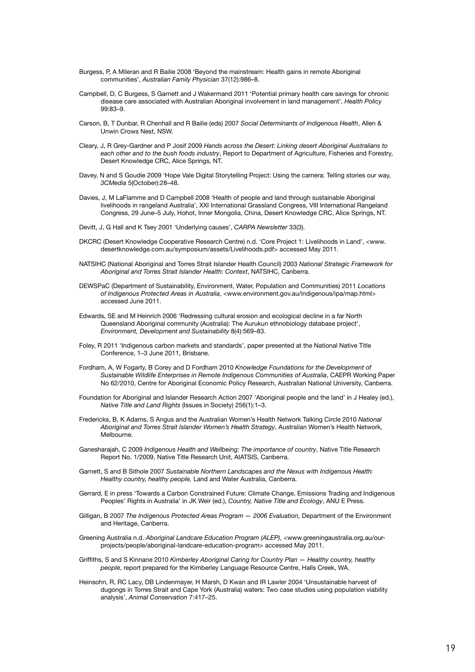- Burgess, P, A Mileran and R Bailie 2008 'Beyond the mainstream: Health gains in remote Aboriginal communities', *Australian Family Physician* 37(12):986–8.
- Campbell, D, C Burgess, S Garnett and J Wakermand 2011 'Potential primary health care savings for chronic disease care associated with Australian Aboriginal involvement in land management', *Health Policy* 99:83–9.
- Carson, B, T Dunbar, R Chenhall and R Bailie (eds) 2007 *Social Determinants of Indigenous Health*, Allen & Unwin Crows Nest, NSW.
- Cleary, J, R Grey-Gardner and P Josif 2009 *Hands across the Desert: Linking desert Aboriginal Australians to each other and to the bush foods industry*, Report to Department of Agriculture, Fisheries and Forestry, Desert Knowledge CRC, Alice Springs, NT.
- Davey, N and S Goudie 2009 'Hope Vale Digital Storytelling Project: Using the camera: Telling stories our way, *3CMedia* 5(October):28–48.
- Davies, J, M LaFlamme and D Campbell 2008 'Health of people and land through sustainable Aboriginal livelihoods in rangeland Australia', XXI International Grassland Congress, VIII International Rangeland Congress, 29 June–5 July, Hohot, Inner Mongolia, China, Desert Knowledge CRC, Alice Springs, NT.
- Devitt, J, G Hall and K Tsey 2001 'Underlying causes', *CARPA Newsletter* 33(3).
- DKCRC (Desert Knowledge Cooperative Research Centre) n.d. 'Core Project 1: Livelihoods in Land', <www. desertknowledge.com.au/symposium/assets/Livelihoods.pdf> accessed May 2011.
- NATSIHC (National Aboriginal and Torres Strait Islander Health Council) 2003 *National Strategic Framework for Aboriginal and Torres Strait Islander Health: Context*, NATSIHC, Canberra.
- DEWSPaC (Department of Sustainability, Environment, Water, Population and Communities) 2011 *Locations of Indigenous Protected Areas in Australia*, <www.environment.gov.au/indigenous/ipa/map.html> accessed June 2011.
- Edwards, SE and M Heinrich 2006 'Redressing cultural erosion and ecological decline in a far North Queensland Aboriginal community (Australia): The Aurukun ethnobiology database project', *Environment, Development and Sustainability* 8(4):569–83.
- Foley, R 2011 'Indigenous carbon markets and standards', paper presented at the National Native Title Conference, 1–3 June 2011, Brisbane.
- Fordham, A, W Fogarty, B Corey and D Fordham 2010 *Knowledge Foundations for the Development of Sustainable Wildlife Enterprises in Remote Indigenous Communities of Australia*, CAEPR Working Paper No 62/2010, Centre for Aboriginal Economic Policy Research, Australian National University, Canberra.
- Foundation for Aboriginal and Islander Research Action 2007 'Aboriginal people and the land' in J Healey (ed.), *Native Title and Land Rights* (Issues in Society) 256(1):1–3.
- Fredericks, B, K Adams, S Angus and the Australian Women's Health Network Talking Circle 2010 *National Aboriginal and Torres Strait Islander Women's Health Strategy*, Australian Women's Health Network, Melbourne.
- Ganesharajah, C 2009 *Indigenous Health and Wellbeing: The importance of country*, Native Title Research Report No. 1/2009, Native Title Research Unit, AIATSIS, Canberra.
- Garnett, S and B Sithole 2007 *Sustainable Northern Landscapes and the Nexus with Indigenous Health: Healthy country, healthy people,* Land and Water Australia, Canberra.
- Gerrard, E in press 'Towards a Carbon Constrained Future: Climate Change, Emissions Trading and Indigenous Peoples' Rights in Australia' in JK Weir (ed.), *Country, Native Title and Ecology*, ANU E Press.
- Gilligan, B 2007 *The Indigenous Protected Areas Program 2006 Evaluation*, Department of the Environment and Heritage, Canberra.
- Greening Australia n.d. *Aboriginal Landcare Education Program (ALEP)*, <www.greeningaustralia.org.au/ourprojects/people/aboriginal-landcare-education-program> accessed May 2011.
- Griffiths, S and S Kinnane 2010 *Kimberley Aboriginal Caring for Country Plan Healthy country, healthy people*, report prepared for the Kimberley Language Resource Centre, Halls Creek, WA.
- Heinsohn, R, RC Lacy, DB Lindenmayer, H Marsh, D Kwan and IR Lawler 2004 'Unsustainable harvest of dugongs in Torres Strait and Cape York (Australia) waters: Two case studies using population viability analysis', *Animal Conservation* 7:417–25.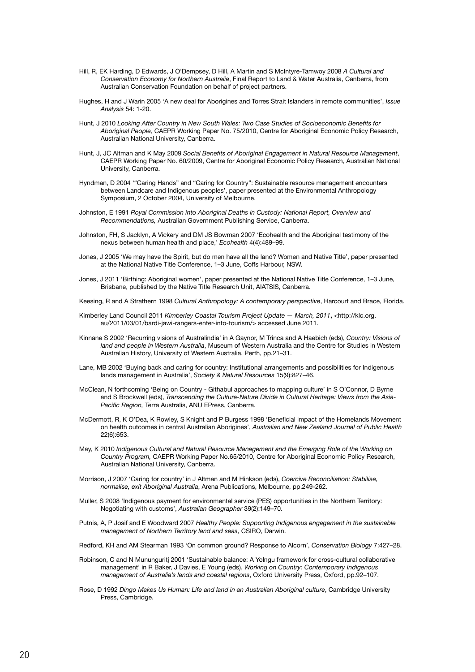- Hill, R, EK Harding, D Edwards, J O'Dempsey, D Hill, A Martin and S McIntyre-Tamwoy 2008 *A Cultural and Conservation Economy for Northern Australia*, Final Report to Land & Water Australia, Canberra, from Australian Conservation Foundation on behalf of project partners.
- Hughes, H and J Warin 2005 'A new deal for Aborigines and Torres Strait Islanders in remote communities', *Issue Analysis* 54: 1-20.
- Hunt, J 2010 *Looking After Country in New South Wales: Two Case Studies of Socioeconomic Benefits for Aboriginal People*, CAEPR Working Paper No. 75/2010, Centre for Aboriginal Economic Policy Research, Australian National University, Canberra.
- Hunt, J, JC Altman and K May 2009 *Social Benefits of Aboriginal Engagement in Natural Resource Management*, CAEPR Working Paper No. 60/2009, Centre for Aboriginal Economic Policy Research, Australian National University, Canberra.
- Hyndman, D 2004 '"Caring Hands" and "Caring for Country": Sustainable resource management encounters between Landcare and Indigenous peoples', paper presented at the Environmental Anthropology Symposium, 2 October 2004, University of Melbourne.
- Johnston, E 1991 *Royal Commission into Aboriginal Deaths in Custody: National Report, Overview and Recommendations,* Australian Government Publishing Service, Canberra.
- Johnston, FH, S Jacklyn, A Vickery and DM JS Bowman 2007 'Ecohealth and the Aboriginal testimony of the nexus between human health and place,' *Ecohealth* 4(4):489–99.
- Jones, J 2005 'We may have the Spirit, but do men have all the land? Women and Native Title', paper presented at the National Native Title Conference, 1–3 June, Coffs Harbour, NSW.
- Jones, J 2011 'Birthing: Aboriginal women', paper presented at the National Native Title Conference, 1–3 June, Brisbane, published by the Native Title Research Unit, AIATSIS, Canberra.
- Keesing, R and A Strathern 1998 *Cultural Anthropology: A contemporary perspective*, Harcourt and Brace, Florida.
- Kimberley Land Council 2011 *Kimberley Coastal Tourism Project Update March, 2011***,** <http://klc.org. au/2011/03/01/bardi-jawi-rangers-enter-into-tourism/> accessed June 2011.
- Kinnane S 2002 'Recurring visions of Australindia' in A Gaynor, M Trinca and A Haebich (eds), *Country: Visions of land and people in Western Australia*, Museum of Western Australia and the Centre for Studies in Western Australian History, University of Western Australia, Perth, pp.21–31.
- Lane, MB 2002 'Buying back and caring for country: Institutional arrangements and possibilities for Indigenous lands management in Australia', *Society & Natural Resources* 15(9):827–46.
- McClean, N forthcoming 'Being on Country Githabul approaches to mapping culture' in S O'Connor, D Byrne and S Brockwell (eds), *Transcending the Culture-Nature Divide in Cultural Heritage: Views from the Asia-Pacific Region,* Terra Australis, ANU EPress, Canberra.
- McDermott, R, K O'Dea, K Rowley, S Knight and P Burgess 1998 'Beneficial impact of the Homelands Movement on health outcomes in central Australian Aborigines', *Australian and New Zealand Journal of Public Health*  22(6):653.
- May, K 2010 *Indigenous Cultural and Natural Resource Management and the Emerging Role of the Working on Country Program,* CAEPR Working Paper No.65/2010, Centre for Aboriginal Economic Policy Research, Australian National University, Canberra.
- Morrison, J 2007 'Caring for country' in J Altman and M Hinkson (eds), *Coercive Reconciliation: Stabilise, normalise, exit Aboriginal Australia*, Arena Publications, Melbourne, pp.249-262.
- Muller, S 2008 'Indigenous payment for environmental service (PES) opportunities in the Northern Territory: Negotiating with customs', *Australian Geographer* 39(2):149–70.
- Putnis, A, P Josif and E Woodward 2007 *Healthy People: Supporting Indigenous engagement in the sustainable management of Northern Territory land and seas*, CSIRO, Darwin.

Redford, KH and AM Stearman 1993 'On common ground? Response to Alcorn', *Conservation Biology* 7:427–28.

- Robinson, C and N Mununguritj 2001 'Sustainable balance: A Yolngu framework for cross-cultural collaborative management' in R Baker, J Davies, E Young (eds), *Working on Country: Contemporary Indigenous management of Australia's lands and coastal regions*, Oxford University Press, Oxford, pp.92–107.
- Rose, D 1992 *Dingo Makes Us Human: Life and land in an Australian Aboriginal culture*, Cambridge University Press, Cambridge.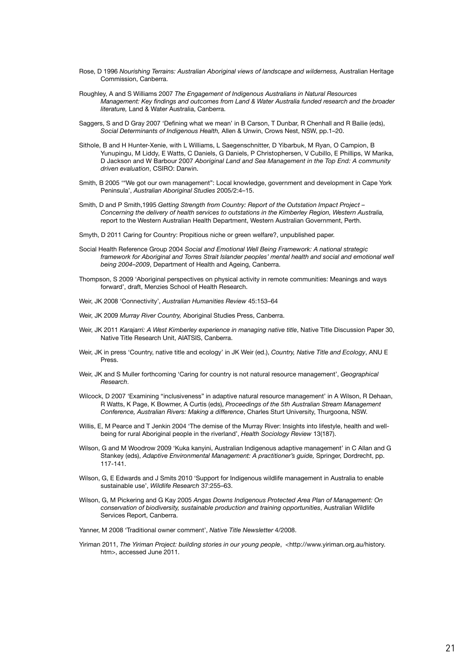- Rose, D 1996 *Nourishing Terrains: Australian Aboriginal views of landscape and wilderness,* Australian Heritage Commission, Canberra.
- Roughley, A and S Williams 2007 *The Engagement of Indigenous Australians in Natural Resources Management: Key findings and outcomes from Land & Water Australia funded research and the broader literature,* Land & Water Australia, Canberra.
- Saggers, S and D Gray 2007 'Defining what we mean' in B Carson, T Dunbar, R Chenhall and R Bailie (eds), *Social Determinants of Indigenous Health,* Allen & Unwin, Crows Nest, NSW, pp.1–20.
- Sithole, B and H Hunter-Xenie, with L Williams, L Saegenschnitter, D Yibarbuk, M Ryan, O Campion, B Yunupingu, M Liddy, E Watts, C Daniels, G Daniels, P Christophersen, V Cubillo, E Phillips, W Marika, D Jackson and W Barbour 2007 *Aboriginal Land and Sea Management in the Top End: A community driven evaluation*, CSIRO: Darwin.
- Smith, B 2005 '"We got our own management": Local knowledge, government and development in Cape York Peninsula', *Australian Aboriginal Studies* 2005/2:4–15.
- Smith, D and P Smith,1995 *Getting Strength from Country: Report of the Outstation Impact Project Concerning the delivery of health services to outstations in the Kimberley Region, Western Australia,*  report to the Western Australian Health Department, Western Australian Government, Perth.
- Smyth, D 2011 Caring for Country: Propitious niche or green welfare?, unpublished paper.
- Social Health Reference Group 2004 *Social and Emotional Well Being Framework: A national strategic*  framework for Aboriginal and Torres Strait Islander peoples' mental health and social and emotional well *being 2004–2009*, Department of Health and Ageing, Canberra.
- Thompson, S 2009 'Aboriginal perspectives on physical activity in remote communities: Meanings and ways forward', draft, Menzies School of Health Research.
- Weir, JK 2008 'Connectivity', *Australian Humanities Review* 45:153–64
- Weir, JK 2009 *Murray River Country,* Aboriginal Studies Press, Canberra.
- Weir, JK 2011 *Karajarri: A West Kimberley experience in managing native title*, Native Title Discussion Paper 30, Native Title Research Unit, AIATSIS, Canberra.
- Weir, JK in press 'Country, native title and ecology' in JK Weir (ed.), *Country, Native Title and Ecology*, ANU E Press.
- Weir, JK and S Muller forthcoming 'Caring for country is not natural resource management', *Geographical Research.*
- Wilcock, D 2007 'Examining "inclusiveness" in adaptive natural resource management' in A Wilson, R Dehaan, R Watts, K Page, K Bowmer, A Curtis (eds), *Proceedings of the 5th Australian Stream Management Conference, Australian Rivers: Making a difference*, Charles Sturt University, Thurgoona, NSW.
- Willis, E, M Pearce and T Jenkin 2004 'The demise of the Murray River: Insights into lifestyle, health and wellbeing for rural Aboriginal people in the riverland', *Health Sociology Review* 13(187).
- Wilson, G and M Woodrow 2009 'Kuka kanyini, Australian Indigenous adaptive management' in C Allan and G Stankey (eds), *Adaptive Environmental Management: A practitioner's guide,* Springer, Dordrecht, pp. 117-141.
- Wilson, G, E Edwards and J Smits 2010 'Support for Indigenous wildlife management in Australia to enable sustainable use', *Wildlife Research* 37:255–63.
- Wilson, G, M Pickering and G Kay 2005 *Angas Downs Indigenous Protected Area Plan of Management: On conservation of biodiversity, sustainable production and training opportunities*, Australian Wildlife Services Report, Canberra.
- Yanner, M 2008 'Traditional owner comment', *Native Title Newsletter* 4/2008.
- Yiriman 2011, *The Yiriman Project: building stories in our young people*, <http://www.yiriman.org.au/history. htm>, accessed June 2011.